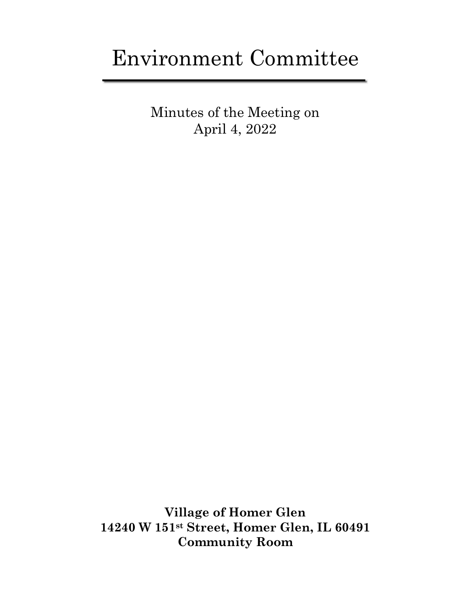# Environment Committee

Minutes of the Meeting on April 4, 2022

**Village of Homer Glen 14240 W 151st Street, Homer Glen, IL 60491 Community Room**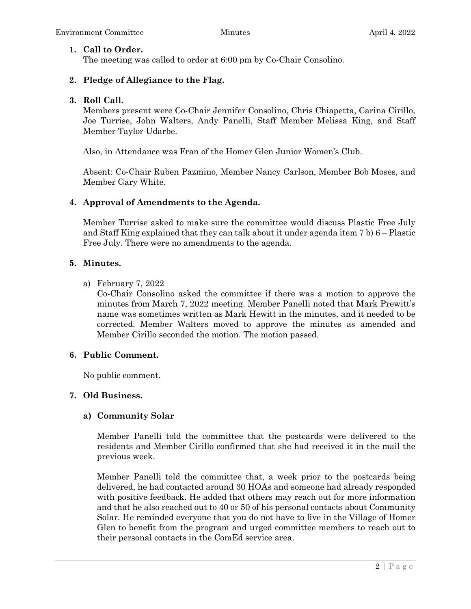# **1. Call to Order.**

The meeting was called to order at 6:00 pm by Co-Chair Consolino.

# **2. Pledge of Allegiance to the Flag.**

## **3. Roll Call.**

Members present were Co-Chair Jennifer Consolino, Chris Chiapetta, Carina Cirillo, Joe Turrise, John Walters, Andy Panelli, Staff Member Melissa King, and Staff Member Taylor Udarbe.

Also, in Attendance was Fran of the Homer Glen Junior Women's Club.

Absent: Co-Chair Ruben Pazmino, Member Nancy Carlson, Member Bob Moses, and Member Gary White.

### **4. Approval of Amendments to the Agenda.**

Member Turrise asked to make sure the committee would discuss Plastic Free July and Staff King explained that they can talk about it under agenda item 7 b) 6 – Plastic Free July. There were no amendments to the agenda.

### **5. Minutes.**

a) February 7, 2022

Co-Chair Consolino asked the committee if there was a motion to approve the minutes from March 7, 2022 meeting. Member Panelli noted that Mark Prewitt's name was sometimes written as Mark Hewitt in the minutes, and it needed to be corrected. Member Walters moved to approve the minutes as amended and Member Cirillo seconded the motion. The motion passed.

# **6. Public Comment.**

No public comment.

# **7. Old Business.**

#### **a) Community Solar**

Member Panelli told the committee that the postcards were delivered to the residents and Member Cirillo confirmed that she had received it in the mail the previous week.

Member Panelli told the committee that, a week prior to the postcards being delivered, he had contacted around 30 HOAs and someone had already responded with positive feedback. He added that others may reach out for more information and that he also reached out to 40 or 50 of his personal contacts about Community Solar. He reminded everyone that you do not have to live in the Village of Homer Glen to benefit from the program and urged committee members to reach out to their personal contacts in the ComEd service area.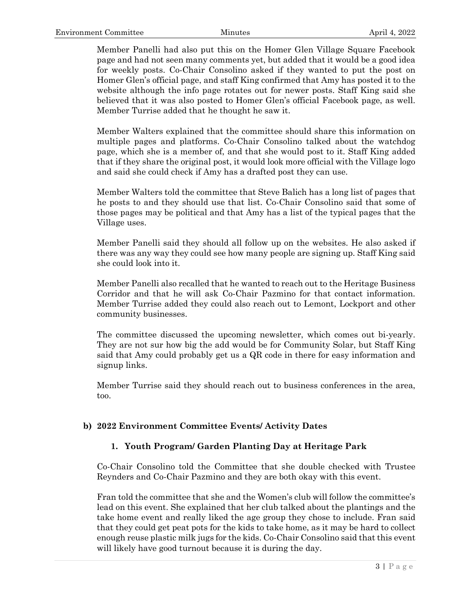Member Panelli had also put this on the Homer Glen Village Square Facebook page and had not seen many comments yet, but added that it would be a good idea for weekly posts. Co-Chair Consolino asked if they wanted to put the post on Homer Glen's official page, and staff King confirmed that Amy has posted it to the website although the info page rotates out for newer posts. Staff King said she believed that it was also posted to Homer Glen's official Facebook page, as well. Member Turrise added that he thought he saw it.

Member Walters explained that the committee should share this information on multiple pages and platforms. Co-Chair Consolino talked about the watchdog page, which she is a member of, and that she would post to it. Staff King added that if they share the original post, it would look more official with the Village logo and said she could check if Amy has a drafted post they can use.

Member Walters told the committee that Steve Balich has a long list of pages that he posts to and they should use that list. Co-Chair Consolino said that some of those pages may be political and that Amy has a list of the typical pages that the Village uses.

Member Panelli said they should all follow up on the websites. He also asked if there was any way they could see how many people are signing up. Staff King said she could look into it.

Member Panelli also recalled that he wanted to reach out to the Heritage Business Corridor and that he will ask Co-Chair Pazmino for that contact information. Member Turrise added they could also reach out to Lemont, Lockport and other community businesses.

The committee discussed the upcoming newsletter, which comes out bi-yearly. They are not sur how big the add would be for Community Solar, but Staff King said that Amy could probably get us a QR code in there for easy information and signup links.

Member Turrise said they should reach out to business conferences in the area, too.

#### **b) 2022 Environment Committee Events/ Activity Dates**

# **1. Youth Program/ Garden Planting Day at Heritage Park**

Co-Chair Consolino told the Committee that she double checked with Trustee Reynders and Co-Chair Pazmino and they are both okay with this event.

Fran told the committee that she and the Women's club will follow the committee's lead on this event. She explained that her club talked about the plantings and the take home event and really liked the age group they chose to include. Fran said that they could get peat pots for the kids to take home, as it may be hard to collect enough reuse plastic milk jugs for the kids. Co-Chair Consolino said that this event will likely have good turnout because it is during the day.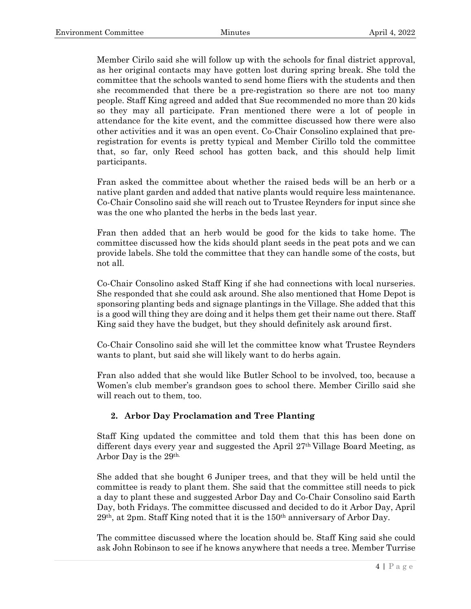Member Cirilo said she will follow up with the schools for final district approval, as her original contacts may have gotten lost during spring break. She told the committee that the schools wanted to send home fliers with the students and then she recommended that there be a pre-registration so there are not too many people. Staff King agreed and added that Sue recommended no more than 20 kids so they may all participate. Fran mentioned there were a lot of people in attendance for the kite event, and the committee discussed how there were also other activities and it was an open event. Co-Chair Consolino explained that preregistration for events is pretty typical and Member Cirillo told the committee that, so far, only Reed school has gotten back, and this should help limit participants.

Fran asked the committee about whether the raised beds will be an herb or a native plant garden and added that native plants would require less maintenance. Co-Chair Consolino said she will reach out to Trustee Reynders for input since she was the one who planted the herbs in the beds last year.

Fran then added that an herb would be good for the kids to take home. The committee discussed how the kids should plant seeds in the peat pots and we can provide labels. She told the committee that they can handle some of the costs, but not all.

Co-Chair Consolino asked Staff King if she had connections with local nurseries. She responded that she could ask around. She also mentioned that Home Depot is sponsoring planting beds and signage plantings in the Village. She added that this is a good will thing they are doing and it helps them get their name out there. Staff King said they have the budget, but they should definitely ask around first.

Co-Chair Consolino said she will let the committee know what Trustee Reynders wants to plant, but said she will likely want to do herbs again.

Fran also added that she would like Butler School to be involved, too, because a Women's club member's grandson goes to school there. Member Cirillo said she will reach out to them, too.

# **2. Arbor Day Proclamation and Tree Planting**

Staff King updated the committee and told them that this has been done on different days every year and suggested the April 27th Village Board Meeting, as Arbor Day is the 29th.

She added that she bought 6 Juniper trees, and that they will be held until the committee is ready to plant them. She said that the committee still needs to pick a day to plant these and suggested Arbor Day and Co-Chair Consolino said Earth Day, both Fridays. The committee discussed and decided to do it Arbor Day, April 29th, at 2pm. Staff King noted that it is the 150th anniversary of Arbor Day.

The committee discussed where the location should be. Staff King said she could ask John Robinson to see if he knows anywhere that needs a tree. Member Turrise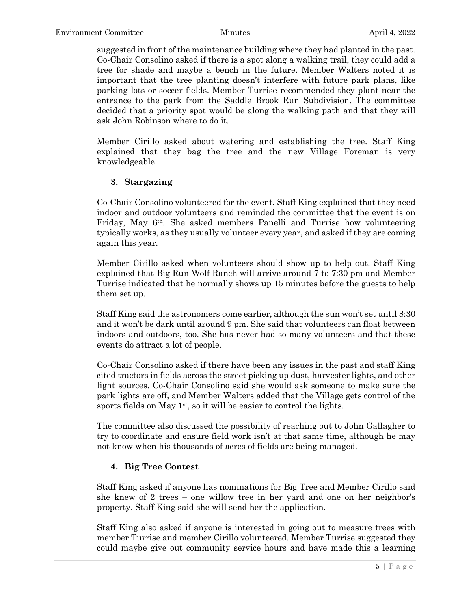suggested in front of the maintenance building where they had planted in the past. Co-Chair Consolino asked if there is a spot along a walking trail, they could add a tree for shade and maybe a bench in the future. Member Walters noted it is important that the tree planting doesn't interfere with future park plans, like parking lots or soccer fields. Member Turrise recommended they plant near the entrance to the park from the Saddle Brook Run Subdivision. The committee decided that a priority spot would be along the walking path and that they will ask John Robinson where to do it.

Member Cirillo asked about watering and establishing the tree. Staff King explained that they bag the tree and the new Village Foreman is very knowledgeable.

### **3. Stargazing**

Co-Chair Consolino volunteered for the event. Staff King explained that they need indoor and outdoor volunteers and reminded the committee that the event is on Friday, May 6th. She asked members Panelli and Turrise how volunteering typically works, as they usually volunteer every year, and asked if they are coming again this year.

Member Cirillo asked when volunteers should show up to help out. Staff King explained that Big Run Wolf Ranch will arrive around 7 to 7:30 pm and Member Turrise indicated that he normally shows up 15 minutes before the guests to help them set up.

Staff King said the astronomers come earlier, although the sun won't set until 8:30 and it won't be dark until around 9 pm. She said that volunteers can float between indoors and outdoors, too. She has never had so many volunteers and that these events do attract a lot of people.

Co-Chair Consolino asked if there have been any issues in the past and staff King cited tractors in fields across the street picking up dust, harvester lights, and other light sources. Co-Chair Consolino said she would ask someone to make sure the park lights are off, and Member Walters added that the Village gets control of the sports fields on May  $1<sup>st</sup>$ , so it will be easier to control the lights.

The committee also discussed the possibility of reaching out to John Gallagher to try to coordinate and ensure field work isn't at that same time, although he may not know when his thousands of acres of fields are being managed.

# **4. Big Tree Contest**

Staff King asked if anyone has nominations for Big Tree and Member Cirillo said she knew of 2 trees – one willow tree in her yard and one on her neighbor's property. Staff King said she will send her the application.

Staff King also asked if anyone is interested in going out to measure trees with member Turrise and member Cirillo volunteered. Member Turrise suggested they could maybe give out community service hours and have made this a learning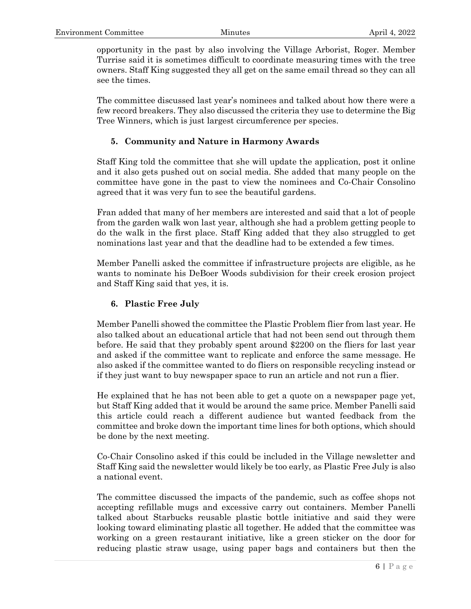opportunity in the past by also involving the Village Arborist, Roger. Member Turrise said it is sometimes difficult to coordinate measuring times with the tree owners. Staff King suggested they all get on the same email thread so they can all see the times.

The committee discussed last year's nominees and talked about how there were a few record breakers. They also discussed the criteria they use to determine the Big Tree Winners, which is just largest circumference per species.

#### **5. Community and Nature in Harmony Awards**

Staff King told the committee that she will update the application, post it online and it also gets pushed out on social media. She added that many people on the committee have gone in the past to view the nominees and Co-Chair Consolino agreed that it was very fun to see the beautiful gardens.

Fran added that many of her members are interested and said that a lot of people from the garden walk won last year, although she had a problem getting people to do the walk in the first place. Staff King added that they also struggled to get nominations last year and that the deadline had to be extended a few times.

Member Panelli asked the committee if infrastructure projects are eligible, as he wants to nominate his DeBoer Woods subdivision for their creek erosion project and Staff King said that yes, it is.

## **6. Plastic Free July**

Member Panelli showed the committee the Plastic Problem flier from last year. He also talked about an educational article that had not been send out through them before. He said that they probably spent around \$2200 on the fliers for last year and asked if the committee want to replicate and enforce the same message. He also asked if the committee wanted to do fliers on responsible recycling instead or if they just want to buy newspaper space to run an article and not run a flier.

He explained that he has not been able to get a quote on a newspaper page yet, but Staff King added that it would be around the same price. Member Panelli said this article could reach a different audience but wanted feedback from the committee and broke down the important time lines for both options, which should be done by the next meeting.

Co-Chair Consolino asked if this could be included in the Village newsletter and Staff King said the newsletter would likely be too early, as Plastic Free July is also a national event.

The committee discussed the impacts of the pandemic, such as coffee shops not accepting refillable mugs and excessive carry out containers. Member Panelli talked about Starbucks reusable plastic bottle initiative and said they were looking toward eliminating plastic all together. He added that the committee was working on a green restaurant initiative, like a green sticker on the door for reducing plastic straw usage, using paper bags and containers but then the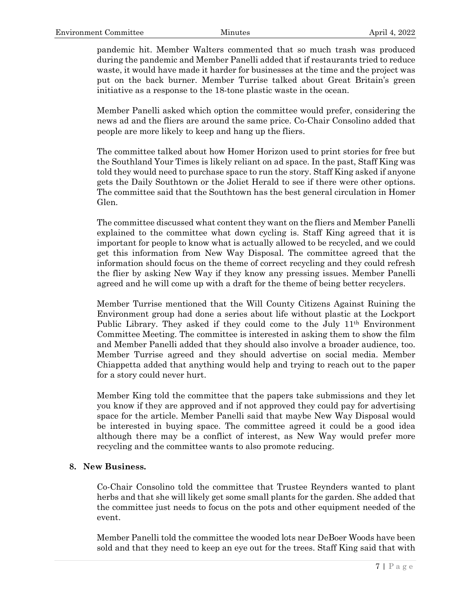pandemic hit. Member Walters commented that so much trash was produced during the pandemic and Member Panelli added that if restaurants tried to reduce waste, it would have made it harder for businesses at the time and the project was put on the back burner. Member Turrise talked about Great Britain's green initiative as a response to the 18-tone plastic waste in the ocean.

Member Panelli asked which option the committee would prefer, considering the news ad and the fliers are around the same price. Co-Chair Consolino added that people are more likely to keep and hang up the fliers.

The committee talked about how Homer Horizon used to print stories for free but the Southland Your Times is likely reliant on ad space. In the past, Staff King was told they would need to purchase space to run the story. Staff King asked if anyone gets the Daily Southtown or the Joliet Herald to see if there were other options. The committee said that the Southtown has the best general circulation in Homer Glen.

The committee discussed what content they want on the fliers and Member Panelli explained to the committee what down cycling is. Staff King agreed that it is important for people to know what is actually allowed to be recycled, and we could get this information from New Way Disposal. The committee agreed that the information should focus on the theme of correct recycling and they could refresh the flier by asking New Way if they know any pressing issues. Member Panelli agreed and he will come up with a draft for the theme of being better recyclers.

Member Turrise mentioned that the Will County Citizens Against Ruining the Environment group had done a series about life without plastic at the Lockport Public Library. They asked if they could come to the July 11<sup>th</sup> Environment Committee Meeting. The committee is interested in asking them to show the film and Member Panelli added that they should also involve a broader audience, too. Member Turrise agreed and they should advertise on social media. Member Chiappetta added that anything would help and trying to reach out to the paper for a story could never hurt.

Member King told the committee that the papers take submissions and they let you know if they are approved and if not approved they could pay for advertising space for the article. Member Panelli said that maybe New Way Disposal would be interested in buying space. The committee agreed it could be a good idea although there may be a conflict of interest, as New Way would prefer more recycling and the committee wants to also promote reducing.

#### **8. New Business.**

Co-Chair Consolino told the committee that Trustee Reynders wanted to plant herbs and that she will likely get some small plants for the garden. She added that the committee just needs to focus on the pots and other equipment needed of the event.

Member Panelli told the committee the wooded lots near DeBoer Woods have been sold and that they need to keep an eye out for the trees. Staff King said that with